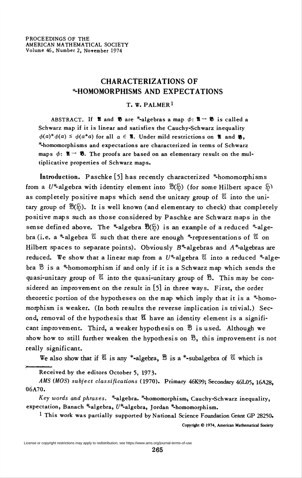## CHARACTERIZATIONS OF **\*HOMOMORPHISMS AND EXPECTATIONS**

## T. W. PALMER<sup>1</sup>

ABSTRACT. If **1** and **8** are \*-algebras a map  $\phi: \mathbf{X} \rightarrow \mathbf{B}$  is called a Schwarz map if it is linear and satisfies the Cauchy-Schwarz inequality  $\phi(a)^*\phi(a) \leq \phi(a^*a)$  for all  $a \in \mathcal{X}$ . Under mild restrictions on  $\mathcal{X}$  and  $\mathcal{Y}$ , \*-homomorphisms and expectations are characterized in terms of Schwarz maps  $\phi$ :  $\mathfrak{A} \rightarrow \mathfrak{B}$ . The proofs are based on an elementary result on the multiplicative properties of Schwarz maps.

Introduction. Paschke [5] has recently characterized \*-homomorphisms from a  $U^*$ -algebra with identity element into  $\mathfrak{B}(\mathfrak{H})$  (for some Hilbert space  $\mathfrak{H}$ ) as completely positive maps which send the unitary group of  $\mathfrak A$  into the unitary group of  $\mathfrak{B}(\mathfrak{H})$ . It is well known (and elementary to check) that completely positive maps such as those considered by Paschke are Schwarz maps in the sense defined above. The \*-algebra  $\mathfrak{B}(\mathfrak{H})$  is an example of a reduced \*-algebra (i.e. a \*-algebra  $\mathfrak U$  such that there are enough \*-representations of  $\mathfrak V$  on Hilbert spaces to separate points). Obviously  $B^*$ -algebras and  $A^*$ -algebras are reduced. We show that a linear map from a  $U^*$ -algebra  $\mathfrak U$  into a reduced  $*$ -algebra  $\mathcal B$  is a \*-homomorphism if and only if it is a Schwarz map which sends the quasi-unitary group of  $\mathfrak A$  into the quasi-unitary group of  $\mathfrak B$ . This may be considered an improvement on the result in [5] in three ways. First, the order theoretic portion of the hypotheses on the map which imply that it is a \*-homomorphism is weaker. (In both results the reverse implication is trivial.) Second, removal of the hypothesis that  $\mathfrak A$  have an identity element is a significant improvement. Third, a weaker hypothesis on  $\mathcal B$  is used. Although we show how to still further weaken the hypothesis on  $\mathcal{B}$ , this improvement is not really significant.

We also show that if  $\mathfrak U$  is any \*-algebra,  $\mathfrak B$  is a \*-subalgebra of  $\mathfrak U$  which is

Received by the editors October 5, 1973.

AMS (MOS) subject classifications (1970). Primary 46K99; Secondary 46L05, 16A28. 06A70.

Key words and phrases. \*-algebra. \*-homomorphism, Cauchy-Schwarz inequality, expectation, Banach \*algebra,  $U^*$ -algebra, Jordan \*-homomorphism.

1 This work was partially supported by National Science Foundation Grant GP 28250.

Copyright © 1974, American Mathematical Society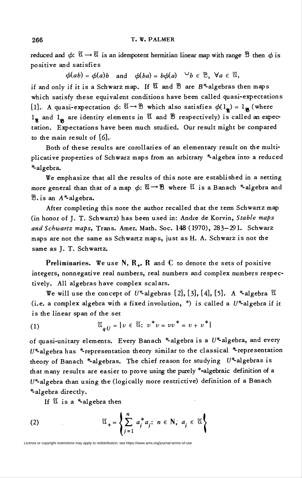reduced and  $\phi: \mathfrak{A} \to \mathfrak{A}$  is an idempotent hermitian linear map with range  $\mathfrak{B}$  then  $\phi$  is positive and satisfies

 $\phi(ab) = \phi(a)b$  and  $\phi(ba) = b\phi(a) \quad \forall b \in \mathcal{D}$ ,  $\forall a \in \mathcal{U}$ ,

if and only if it is a Schwarz map. If  $\mathfrak A$  and  $\mathfrak B$  are  $B^*$ -algebras then maps which satisfy these equivalent conditions have been called quasi-expectations [1]. A quasi-expectation  $\phi: \mathfrak{A} \to \mathfrak{B}$  which also satisfies  $\phi(1_{\alpha}) = 1_{\mathfrak{B}}$  (where  $1_{\alpha}$  and  $1_{\alpha}$  are identity elements in  $\mathfrak A$  and  $\mathfrak B$  respectively) is called an expectation. Expectations have been much studied. Our result might be compared to the main result of [6].

Both of these results are corollaries of an elementary result on the multiplicative properties of Schwarz maps from an arbitrary \*-algebra into a reduced \*-algebra.

We emphasize that all the results of this note are established in a setting more general than that of a map  $\phi: \mathfrak{A} \to \mathfrak{B}$  where  $\mathfrak{A}$  is a Banach \*-algebra and  $\mathcal{B}$ . is an  $A^*$ algebra.

After completing this note the author recalled that the term Schwartz map (in honor of J. T. Schwartz) has been used in: Andre de Korvin, Stable maps and Schwartz maps, Trans. Amer. Math. Soc. 148 (1970), 283—291. Schwarz maps are not the same as Schwartz maps, just as H. A. Schwarz is not the same as J. T. Schwartz.

Preliminaries. We use N,  $R_{+}$ , R and C to denote the sets of positive integers, nonnegative real numbers, real numbers and complex numbers respectively. All algebras have complex scalars.

We will use the concept of  $U^*$ -algebras [2], [3], [4], [5]. A \*-algebra  $\mathfrak U$ (i.e. a complex algebra with a fixed involution,  $*$ ) is called a  $U^*$ -algebra if it is the linear span of the set

(1) 
$$
\mathfrak{A}_{aU} = \{ v \in \mathfrak{A} : v^* v = v v^* = v + v^* \}
$$

of quasi-unitary elements. Every Banach \*-algebra is a  $U^*$ -algebra, and every  $U^*$ algebra has  $*$ -representation theory similar to the classical  $*$ -representation theory of Banach \*-algebras. The chief reason for studying  $U^*$ -algebras is that many results are easier to prove using the purely \*-algebraic definition of a  $U^*$ -algebra than using the (logically more restrictive) definition of a Banach \*-algebra directly.

If  $\mathfrak U$  is a \*-algebra then

(2) 
$$
\mathfrak{A}_{+} = \left\{ \sum_{j=1}^{n} a_{j}^{*} a_{j}; n \in \mathbb{N}, a_{j} \in \mathfrak{A} \right\}
$$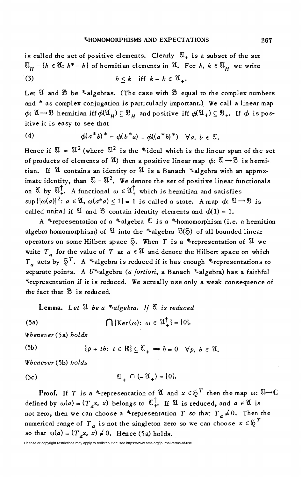is called the set of positive elements. Clearly  $\mathfrak{A}_+$  is a subset of the set  $\mathfrak{A}_H = \{h \in \mathfrak{A}: h^* = h\}$  of hermitian elements in  $\mathfrak{A}$ . For h,  $k \in \mathfrak{A}_H$  we write (3)  $h < k$  iff  $k - h \in \mathfrak{A}$ .

Let  $\mathfrak U$  and  $\mathfrak B$  be \*-algebras. (The case with  $\mathfrak B$  equal to the complex numbers and \* as complex conjugation is particularly important.) We call a linear map  $\phi: \mathfrak{A} \to \mathfrak{B}$  hermitian iff  $\phi(\mathfrak{A}_H) \subseteq \mathfrak{B}_H$  and positive iff  $\phi(\mathfrak{A}_+) \subseteq \mathfrak{B}_+$ . If  $\phi$  is positive it is easy to see that

(4) 
$$
\phi(a^*b)^* = \phi(b^*a) = \phi((a^*b)^*) \quad \forall a, b \in \mathfrak{A}.
$$

Hence if  $\mathfrak{A} = \mathfrak{A}^2$  (where  $\mathfrak{A}^2$  is the \*ideal which is the linear span of the set of products of elements of  $\mathfrak{A}$ ) then a positive linear map  $\phi: \mathfrak{A} \to \mathfrak{B}$  is hermitian. If  $\mathfrak U$  contains an identity or  $\mathfrak V$  is a Banach \*-algebra with an approximate identity, than  $\mathfrak{A} = \mathfrak{A}^2$ . We denote the set of positive linear functionals on  $\mathfrak{A}$  by  $\mathfrak{A}^{\dagger}$ . A functional  $\omega \in \mathfrak{A}^{\dagger}$  which is hermitian and satisfies  $\sup {\{\vert \omega(a) \vert^2 : a \in \mathfrak{A}, \omega(a^*a) < 1 \}} = 1$  is called a state. A map  $\phi: \mathfrak{A} \to \mathfrak{B}$  is called unital if  $\mathfrak A$  and  $\mathfrak B$  contain identity elements and  $\phi(1) = 1$ .

A \*-representation of a \*-algebra  $\mathfrak A$  is a \*-homomorphism (i.e. a hermitian algebra homomorphism) of  $\mathfrak A$  into the \*-algebra  $\mathfrak B(\mathfrak H)$  of all bounded linear operators on some Hilbert space  $\tilde{p}$ . When T is a \*-representation of  $\mathfrak A$  we write  $T_a$  for the value of T at  $a \in \mathfrak{A}$  and denote the Hilbert space on which  $T_a$  acts by  $\tilde{p}^T$ . A \*algebra is reduced if it has enough \*-representations to separate points. A  $U^*$ -algebra (a fortiori, a Banach \*-algebra) has a faithful \*representation if it is reduced. We actually use only a weak consequence of the fact that  $\mathfrak B$  is reduced.

Lemma. Let  $\mathfrak A$  be a \*-algebra. If  $\mathfrak A$  is reduced

(5a) 
$$
\bigcap \{ \text{Ker}(\omega) : \omega \in \mathbb{U}_{+}^{\dagger} \} = \{0\}.
$$

Whenever {5a) holds

(5b) 
$$
\{p+th: t \in \mathbb{R}\} \subseteq \mathbb{X}_{+} \Rightarrow b=0 \quad \forall p, b \in \mathbb{X}_{-}
$$

Whenever (5b) holds

$$
\mathfrak{A}_{\perp} \cap (-\mathfrak{A}_{\perp}) = \{0\}.
$$

**Proof.** If T is a \*-representation of  $\mathfrak{A}$  and  $x \in \mathfrak{H}^T$  then the map  $\omega: \mathfrak{A} \to \mathbb{C}$ defined by  $\omega(a) = (T_a x, x)$  belongs to  $\mathfrak{A}^{\dagger}$ . If  $\mathfrak{A}$  is reduced, and  $a \in \mathfrak{A}$  is not zero, then we can choose a \*-representation T so that  $T_a \neq 0$ . Then the numerical range of  $T_a$  is not the singleton zero so we can choose  $x \in \mathcal{F}^T$ so that  $\omega(a) = (T_a x, x) \neq 0$ . Hence (5a) holds.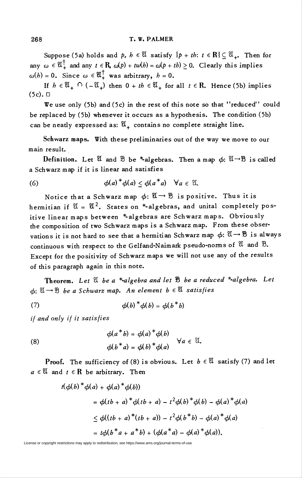Suppose (5a) holds and p,  $h \in \mathfrak{A}$  satisfy  $\{p + th: t \in \mathbb{R}\} \subset \mathfrak{A}_{+}$ . Then for any  $\omega \in \mathfrak{A}^{\dagger}$  and any  $t \in \mathbf{R}$ ,  $\omega(p) + tw(h) = \omega(p + th) > 0$ . Clearly this implies  $\omega(h) = 0$ . Since  $\omega \in \mathfrak{A}^{\dagger}$  was arbitrary,  $h = 0$ .

If  $h \in \mathfrak{A}_+ \cap (-\mathfrak{A}_+)$  then  $0 + th \in \mathfrak{A}_+$  for all  $t \in \mathbb{R}$ . Hence (5b) implies (5c). D

We use only (5b) and (5c) in the rest of this note so that "reduced" could be replaced by (5b) whenever it occurs as a hypothesis. The condition (5b) can be neatly expressed as:  $\mathfrak{A}_+$  contains no complete straight line.

Schwarz maps. With these preliminaries out of the way we move to our main result.

Definition. Let  $\mathfrak A$  and  $\mathfrak B$  be \*-algebras. Then a map  $\phi: \mathfrak A \to \mathfrak B$  is called a Schwarz map if it is linear and satisfies

(6) 
$$
\phi(a)^* \phi(a) \leq \phi(a^* a) \quad \forall a \in \mathfrak{A}.
$$

Notice that a Schwarz map  $\phi: \mathfrak{A} \to \mathfrak{B}$  is positive. Thus it is hermitian if  $\mathfrak{A} = \mathfrak{A}^2$ . States on \*-algebras, and unital completely positive linear maps between \*-algebras are Schwarz maps. Obviously the composition of two Schwarz maps is a Schwarz map. From these observations it is not hard to see that a hermitian Schwarz map  $\phi\colon \mathfrak{A}\to \mathfrak{B}$  is always continuous with respect to the Gelfand-Naimark pseudo-norms of  $\mathfrak A$  and  $\mathfrak B$ . Except for the positivity of Schwarz maps we will not use any of the results of this paragraph again in this note.

Theorem. Let  $\mathfrak U$  be a \*-algebra and let  $\mathfrak B$  be a reduced \*-algebra. Let  $\phi: \mathfrak{A} \to \mathfrak{B}$  be a Schwarz map. An element  $b \in \mathfrak{A}$  satisfies

(7) 
$$
\phi(b)^* \phi(b) = \phi(b^* b)
$$

if and only if it satisfies

(8) 
$$
\phi(a^*b) = \phi(a)^*\phi(b) \quad \forall a \in \mathfrak{A}.
$$

$$
\phi(b^*a) = \phi(b)^*\phi(a) \quad \forall a \in \mathfrak{A}.
$$

**Proof.** The sufficiency of (8) is obvious. Let  $b \in \mathcal{U}$  satisfy (7) and let  $a \in \mathfrak{A}$  and  $t \in \mathbb{R}$  be arbitrary. Then

$$
t(\phi(b)^{*}\phi(a) + \phi(a)^{*}\phi(b))
$$
  
=  $\phi(tb + a)^{*}\phi(tb + a) - t^{2}\phi(b)^{*}\phi(b) - \phi(a)^{*}\phi(a)$   
 $\leq \phi((tb + a)^{*}(tb + a)) - t^{2}\phi(b^{*}b) - \phi(a)^{*}\phi(a)$   
=  $t\phi(b^{*}a + a^{*}b) + (\phi(a^{*}a) - \phi(a)^{*}\phi(a)).$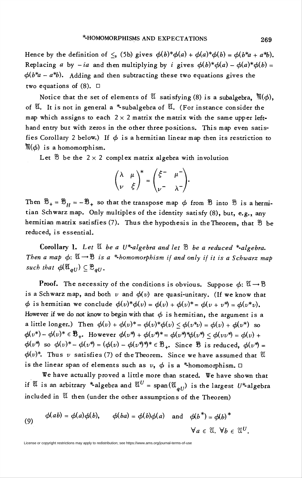Hence by the definition of  $\leq$ , (5b) gives  $\phi(b)^*\phi(a) + \phi(a)^*\phi(b) = \phi(b^*a + a^*b)$ . Replacing a by  $-ia$  and then multiplying by i gives  $\phi(b)^*\phi(a) - \phi(a)^*\phi(b) =$  $\phi(b^*a - a^*b)$ . Adding and then subtracting these two equations gives the two equations of  $(8)$ .  $\square$ 

Notice that the set of elements of  $\mathfrak A$  satisfying (8) is a subalgebra,  ${\mathfrak M}(\phi)$ , of  $\mathfrak{A}$ . It is not in general a \*-subalgebra of  $\mathfrak{A}$ . (For instance consider the map which assigns to each  $2 \times 2$  matrix the matrix with the same upper lefthand entry but with zeros in the other three positions. This map even satisfies Corollary 2 below.) If  $\phi$  is a hermitian linear map then its restriction to  $M(\phi)$  is a homomorphism.

Let  $\mathcal B$  be the  $2 \times 2$  complex matrix algebra with involution

$$
\begin{pmatrix} \lambda & \mu \\ \nu & \xi \end{pmatrix}^* = \begin{pmatrix} \xi^- & \mu^- \\ \nu^- & \lambda^- \end{pmatrix}.
$$

Then  $\mathfrak{B}_{+} = \mathfrak{B}_{H} = -\mathfrak{B}_{+}$  so that the transpose map  $\phi$  from  $\mathfrak{B}$  into  $\mathfrak{B}$  is a hermitian Schwarz map. Only multiples of the identity satisfy (8), but, e.g., any hermitian matrix satisfies (7). Thus the hypothesis in the Theorem, that  $\mathcal B$  be reduced, is essential.

Corollary 1. Let  $\mathfrak V$  be a U<sup>\*</sup>-algebra and let  $\mathfrak B$  be a reduced \*-algebra. Then a map  $\phi: \mathfrak{A} \to \mathfrak{B}$  is a \*-homomorphism if and only if it is a Schwarz map such that  $\phi(\mathfrak{A}_{aU}) \subseteq \mathfrak{B}_{aU}$ .

**Proof.** The necessity of the conditions is obvious. Suppose  $\phi: \mathfrak{A} \to \mathfrak{B}$ is a Schwarz map, and both  $v$  and  $\phi(v)$  are quasi-unitary. (If we know that  $\phi$  is hermitian we conclude  $\phi(v)^*\phi(v) = \phi(v) + \phi(v)^* = \phi(v + v^*) = \phi(v^*v)$ . However if we do not know to begin with that  $\phi$  is hermitian, the argument is a a little longer.) Then  $\phi(v) + \phi(v)^* = \phi(v)^* \phi(v) < \phi(v^*) = \phi(v) + \phi(v^*)$  so  $\phi(v^*) - \phi(v)^* \in \mathcal{B}_+$ . However  $\phi(v^*) + \phi(v^*)^* = \phi(v^*)^* \phi(v^*) < \phi(vv^*) = \phi(v) + \phi(v^*)$  $\phi(v^*)$  so  $\phi(v)^* - \phi(v^*) = (\phi(v) - \phi(v^*)^*)^* \in \mathcal{B}_+$ . Since  $\mathcal{B}$  is reduced,  $\phi(v^*) =$  $\phi(v)^*$ . Thus v satisfies (7) of the Theorem. Since we have assumed that  $\mathfrak A$ is the linear span of elements such as  $v$ ,  $\phi$  is a \*-homomorphism.  $\Box$ 

We have actually proved a little more than stated. We have shown that if  $\mathfrak{A}$  is an arbitrary \*-algebra and  $\mathfrak{A}^U = \text{span}(\mathfrak{A}_{aU})$  is the largest  $U^*$ -algebra included in  $\mathfrak A$  then (under the other assumptions of the Theorem)

(9) 
$$
\phi(ab) = \phi(a)\phi(b), \qquad \phi(ba) = \phi(b)\phi(a) \text{ and } \phi(b^*) = \phi(b)^*
$$
  
 $\forall a \in \mathcal{X}, \forall b \in \mathcal{X}^U.$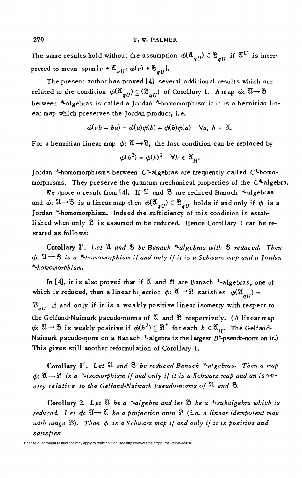The same results hold without the assumption  $\phi(\mathfrak{A}_{all}) \subseteq \mathfrak{B}_{all}$  if  $\mathfrak{A}^U$  is interpreted to mean span $\{v \in \mathfrak{A}_{all} : \phi(v) \in \mathfrak{B}_{all}\}.$ 

The present author has proved [4] several additional results which are related to the condition  $\phi(\mathfrak{A}_{all}) \subseteq (\mathfrak{B}_{all})$  of Corollary 1. A map  $\phi: \mathfrak{A} \to \mathfrak{B}$ between \*-algebras is called a Jordan \*-homomorphism if it is a hermitian linear map which preserves the Jordan product, i.e.

$$
\phi(ab+ba)=\phi(a)\phi(b)+\phi(b)\phi(a) \quad \forall a, b \in \mathfrak{A}.
$$

For a hermitian linear map  $\phi: \mathfrak{A} \to \mathfrak{B}$ , the last condition can be replaced by

$$
\phi(h^2) = \phi(h)^2 \quad \forall h \in \mathfrak{A}_{\mathbf{H}}.
$$

Jordan \*-homomorphisms between  $C^*$ -algebras are frequently called  $C^*$ -homomorphisms. They preserve the quantum mechanical properties of the  $C^*$ -algebra.

We quote a result from [4]. If  $\mathfrak A$  and  $\mathfrak B$  are reduced Banach \*-algebras and  $\phi: \mathfrak{A} \to \mathfrak{B}$  is a linear map then  $\phi(\mathfrak{A}_{\sigma U}) \subseteq \mathfrak{B}_{\sigma U}$  holds if and only if  $\phi$  is a Jordan \*-homomorphism. Indeed the sufficiency of this condition is established when only  $\mathfrak B$  is assumed to be reduced. Hence Corollary 1 can be restated as follows:

Corollary 1'. Let  $\mathfrak A$  and  $\mathfrak B$  be Banach \*-algebras with  $\mathfrak B$  reduced. Then  $\phi: \mathfrak{A} \rightarrow \mathfrak{B}$  is a \*-homomorphism if and only if it is a Schwarz map and a Jordan \*-homomorphism.

In [4], it is also proved that if  $\mathfrak A$  and  $\mathfrak B$  are Banach \*-algebras, one of which is reduced, then a linear bijection  $\phi: \mathfrak{A} \to \mathfrak{B}$  satisfies  $\phi(\mathfrak{A}_{all}) =$  $\mathfrak{B}_{all}$  if and only if it is a weakly positive linear isometry with respect to the Gelfand-Naimark pseudo-norms of  $\mathfrak A$  and  $\mathfrak B$  respectively. (A linear map  $\phi: \mathfrak{A} \to \mathfrak{B}$  is weakly positive if  $\phi(h^2) \subseteq \mathfrak{B}^+$  for each  $h \in \mathfrak{A}_H$ . The Gelfand-Naimark pseudo-norm on a Banach \*-algebra is the largest B\*-pseudo-norm on it.) This gives still another reformulation of Corollary 1.

Corollary  $l''$ . Let  $\mathfrak A$  and  $\mathfrak B$  be reduced Banach \*-algebras. Then a map  $\phi: \mathfrak{A} \to \mathfrak{B}$  is a \*-isomorphism if and only if it is a Schwarz map and an isometry relative to the Gelfand-Naimark pseudo-norms of  $\mathfrak A$  and  $\mathfrak B$ .

Corollary 2. Let  $\mathfrak A$  be a \*-algebra and let  $\mathfrak B$  be a \*-subalgebra which is reduced. Let  $\phi: \mathfrak{A} \to \mathfrak{A}$  be a projection onto  $\mathfrak{B}$  (i.e. a linear idempotent map with range  $\mathfrak{B}$ ). Then  $\phi$  is a Schwarz map if and only if it is positive and satisfies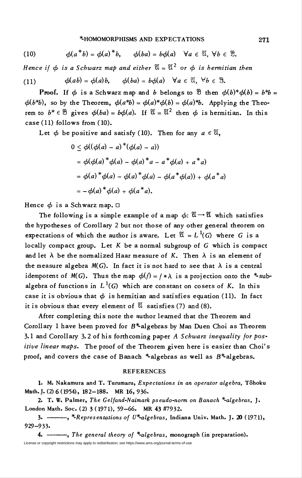## \*-HOMOMORPHISMS AND EXPECTATIONS 271

(10) 
$$
\phi(a^*b) = \phi(a)^*b, \quad \phi(ba) = b\phi(a) \quad \forall a \in \mathbb{X}, \forall b \in \mathbb{B}.
$$

Hence if  $\phi$  is a Schwarz map and either  $\mathfrak{A} = \mathfrak{A}^2$  or  $\phi$  is hermitian then

(11) 
$$
\phi(ab) = \phi(a)b, \qquad \phi(ba) = b\phi(a) \quad \forall a \in \mathbb{X}, \forall b \in \mathbb{B}.
$$

**Proof.** If  $\phi$  is a Schwarz map and b belongs to  $\mathcal{B}$  then  $\phi(b)^*\phi(b) = b^*b =$  $\phi(b^*b)$ , so by the Theorem,  $\phi(a^*b) = \phi(a)^*\phi(b) = \phi(a)^*b$ . Applying the Theorem to  $b^* \in \mathcal{B}$  gives  $\phi(ba) = b\phi(a)$ . If  $\mathcal{U} = \mathcal{U}^2$  then  $\phi$  is hermitian. In this case (11) follows from (10).

Let  $\phi$  be positive and satisfy (10). Then for any  $a \in \mathfrak{A}$ ,

$$
0 \leq \phi((\phi(a) - a)^*(\phi(a) - a))
$$
  
=  $\phi(\phi(a)^*\phi(a) - \phi(a)^*a - a^*\phi(a) + a^*a)$   
=  $\phi(a)^*\phi(a) - \phi(a)^*\phi(a) - \phi(a^*\phi(a)) + \phi(a^*a)$   
=  $-\phi(a)^*\phi(a) + \phi(a^*a)$ .

Hence  $\phi$  is a Schwarz map.  $\Box$ 

The following is a simple example of a map  $\phi: \mathfrak{A} \to \mathfrak{A}$  which satisfies the hypotheses of Corollary 2 but not those of any other general theorem on expectations of which the author is aware. Let  $\mathfrak{A} = L^1(G)$  where G is a locally compact group. Let  $K$  be a normal subgroup of  $G$  which is compact and let  $\lambda$  be the normalized Haar measure of K. Then  $\lambda$  is an element of the measure algebra  $M(G)$ . In fact it is not hard to see that  $\lambda$  is a central idempotent of  $M(G)$ . Thus the map  $\phi(f) = f * \lambda$  is a projection onto the \*subalgebra of functions in  $L^1(G)$  which are constant on cosets of K. In this case it is obvious that  $\phi$  is hermitian and satisfies equation (11). In fact it is obvious that every element of  $\mathfrak{A}$  satisfies (7) and (8).

After completing this note the author learned that the Theorem and Corollary 1 have been proved for  $B^*$ -algebras by Man Duen Choi as Theorem 3.1 and Corollary 3.2 of his forthcoming paper  $A$  Schwarz inequality for positive linear maps. The proof of the Theorem given here is easier than Choi's proof, and covers the case of Banach \*-algebras as well as  $B^*$ -algebras.

## **REFERENCES**

1. M. Nakamura and T. Turumaru, Expectations in an operator algebra, Tôhoku Math. J. (2) 6 (1954), 182-188. MR 16, 936.

2. T. W. Palmer, The Gelfand-Naimark pseudo-norm on Banach \*-algebras, J. London Math. Soc. (2) 3 ( 1971), 59-66. MR 43 #7932.

3.  $-\rightarrow$ , \*Representations of U\*-algebras, Indiana Univ. Math. J. 20 (1971), 929-933.

4.  $\frac{1}{4}$ , The general theory of \*-algebras, monograph (in preparation). License or copyright restrictions may apply to redistribution; see https://www.ams.org/journal-terms-of-use